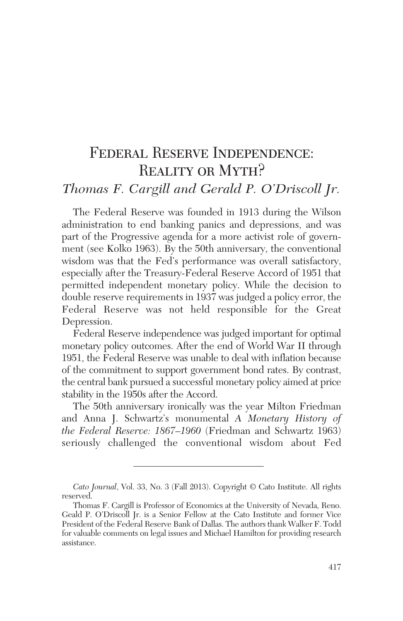# Federal Reserve Independence: Reality or Myth? *Thomas F. Cargill and Gerald P. O'Driscoll Jr.*

The Federal Reserve was founded in 1913 during the Wilson administration to end banking panics and depressions, and was part of the Progressive agenda for a more activist role of government (see Kolko 1963). By the 50th anniversary, the conventional wisdom was that the Fed's performance was overall satisfactory, especially after the Treasury-Federal Reserve Accord of 1951 that permitted independent monetary policy. While the decision to double reserve requirements in 1937 was judged a policy error, the Federal Reserve was not held responsible for the Great Depression.

Federal Reserve independence was judged important for optimal monetary policy outcomes. After the end of World War II through 1951, the Federal Reserve was unable to deal with inflation because of the commitment to support government bond rates. By contrast, the central bank pursued a successful monetary policy aimed at price stability in the 1950s after the Accord.

The 50th anniversary ironically was the year Milton Friedman and Anna J. Schwartz's monumental *A Monetary History of the Federal Reserve: 1867–1960* (Friedman and Schwartz 1963) seriously challenged the conventional wisdom about Fed

*Cato Journal*, Vol. 33, No. 3 (Fall 2013). Copyright © Cato Institute. All rights reserved.

Thomas F. Cargill is Professor of Economics at the University of Nevada, Reno. Geald P. O'Driscoll Jr. is a Senior Fellow at the Cato Institute and former Vice President of the Federal Reserve Bank of Dallas. The authors thank Walker F. Todd for valuable comments on legal issues and Michael Hamilton for providing research assistance.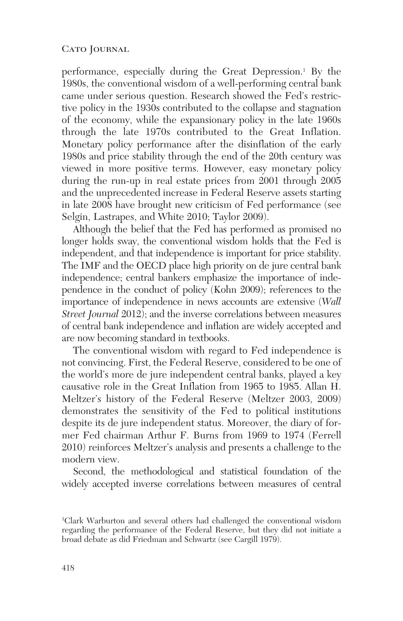performance, especially during the Great Depression.<sup>1</sup> By the 1980s, the conventional wisdom of a well-performing central bank came under serious question. Research showed the Fed's restrictive policy in the 1930s contributed to the collapse and stagnation of the economy, while the expansionary policy in the late 1960s through the late 1970s contributed to the Great Inflation. Monetary policy performance after the disinflation of the early 1980s and price stability through the end of the 20th century was viewed in more positive terms. However, easy monetary policy during the run-up in real estate prices from 2001 through 2005 and the unprecedented increase in Federal Reserve assets starting in late 2008 have brought new criticism of Fed performance (see Selgin, Lastrapes, and White 2010; Taylor 2009).

Although the belief that the Fed has performed as promised no longer holds sway, the conventional wisdom holds that the Fed is independent, and that independence is important for price stability. The IMF and the OECD place high priority on de jure central bank independence; central bankers emphasize the importance of independence in the conduct of policy (Kohn 2009); references to the importance of independence in news accounts are extensive (*Wall Street Journal* 2012); and the inverse correlations between measures of central bank independence and inflation are widely accepted and are now becoming standard in textbooks.

The conventional wisdom with regard to Fed independence is not convincing. First, the Federal Reserve, considered to be one of the world's more de jure independent central banks, played a key causative role in the Great Inflation from 1965 to 1985. Allan H. Meltzer's history of the Federal Reserve (Meltzer 2003, 2009) demonstrates the sensitivity of the Fed to political institutions despite its de jure independent status. Moreover, the diary of former Fed chairman Arthur F. Burns from 1969 to 1974 (Ferrell 2010) reinforces Meltzer's analysis and presents a challenge to the modern view.

Second, the methodological and statistical foundation of the widely accepted inverse correlations between measures of central

<sup>1</sup> Clark Warburton and several others had challenged the conventional wisdom regarding the performance of the Federal Reserve, but they did not initiate a broad debate as did Friedman and Schwartz (see Cargill 1979).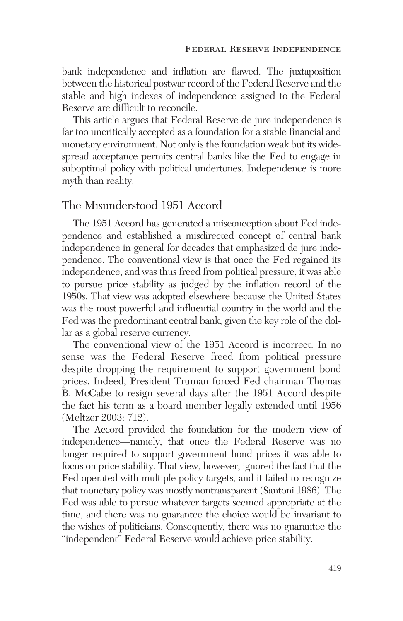bank independence and inflation are flawed. The juxtaposition between the historical postwar record of the Federal Reserve and the stable and high indexes of independence assigned to the Federal Reserve are difficult to reconcile.

This article argues that Federal Reserve de jure independence is far too uncritically accepted as a foundation for a stable financial and monetary environment. Not only is the foundation weak but its widespread acceptance permits central banks like the Fed to engage in suboptimal policy with political undertones. Independence is more myth than reality.

## The Misunderstood 1951 Accord

The 1951 Accord has generated a misconception about Fed independence and established a misdirected concept of central bank independence in general for decades that emphasized de jure independence. The conventional view is that once the Fed regained its independence, and was thus freed from political pressure, it was able to pursue price stability as judged by the inflation record of the 1950s. That view was adopted elsewhere because the United States was the most powerful and influential country in the world and the Fed was the predominant central bank, given the key role of the dollar as a global reserve currency.

The conventional view of the 1951 Accord is incorrect. In no sense was the Federal Reserve freed from political pressure despite dropping the requirement to support government bond prices. Indeed, President Truman forced Fed chairman Thomas B. McCabe to resign several days after the 1951 Accord despite the fact his term as a board member legally extended until 1956 (Meltzer 2003: 712).

The Accord provided the foundation for the modern view of independence—namely, that once the Federal Reserve was no longer required to support government bond prices it was able to focus on price stability. That view, however, ignored the fact that the Fed operated with multiple policy targets, and it failed to recognize that monetary policy was mostly nontransparent (Santoni 1986). The Fed was able to pursue whatever targets seemed appropriate at the time, and there was no guarantee the choice would be invariant to the wishes of politicians. Consequently, there was no guarantee the "independent" Federal Reserve would achieve price stability.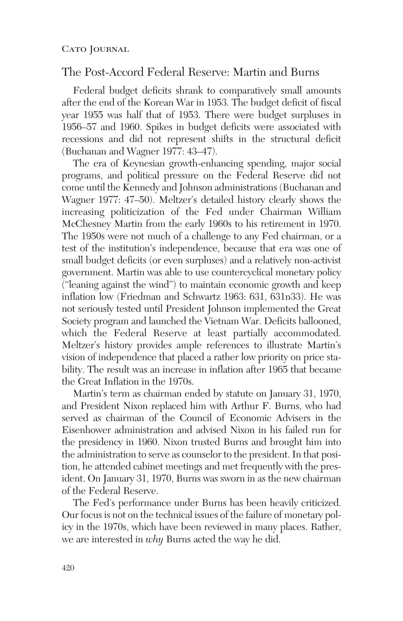## The Post-Accord Federal Reserve: Martin and Burns

Federal budget deficits shrank to comparatively small amounts after the end of the Korean War in 1953. The budget deficit of fiscal year 1955 was half that of 1953. There were budget surpluses in 1956–57 and 1960. Spikes in budget deficits were associated with recessions and did not represent shifts in the structural deficit (Buchanan and Wagner 1977: 43–47).

The era of Keynesian growth-enhancing spending, major social programs, and political pressure on the Federal Reserve did not come until the Kennedy and Johnson administrations (Buchanan and Wagner 1977: 47–50). Meltzer's detailed history clearly shows the increasing politicization of the Fed under Chairman William McChesney Martin from the early 1960s to his retirement in 1970. The 1950s were not much of a challenge to any Fed chairman, or a test of the institution's independence, because that era was one of small budget deficits (or even surpluses) and a relatively non-activist government. Martin was able to use countercyclical monetary policy ("leaning against the wind") to maintain economic growth and keep inflation low (Friedman and Schwartz 1963: 631, 631n33). He was not seriously tested until President Johnson implemented the Great Society program and launched the Vietnam War. Deficits ballooned, which the Federal Reserve at least partially accommodated. Meltzer's history provides ample references to illustrate Martin's vision of independence that placed a rather low priority on price stability. The result was an increase in inflation after 1965 that became the Great Inflation in the 1970s.

Martin's term as chairman ended by statute on January 31, 1970, and President Nixon replaced him with Arthur F. Burns, who had served as chairman of the Council of Economic Advisers in the Eisenhower administration and advised Nixon in his failed run for the presidency in 1960. Nixon trusted Burns and brought him into the administration to serve as counselor to the president. In that position, he attended cabinet meetings and met frequently with the president. On January 31, 1970, Burns was sworn in as the new chairman of the Federal Reserve.

The Fed's performance under Burns has been heavily criticized. Our focus is not on the technical issues of the failure of monetary policy in the 1970s, which have been reviewed in many places. Rather, we are interested in *why* Burns acted the way he did.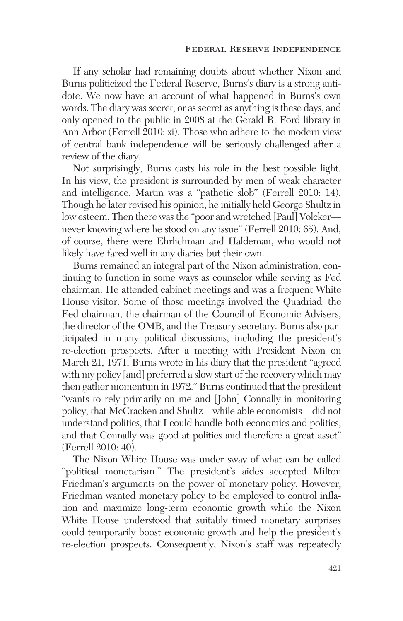If any scholar had remaining doubts about whether Nixon and Burns politicized the Federal Reserve, Burns's diary is a strong antidote. We now have an account of what happened in Burns's own words. The diary was secret, or as secret as anything is these days, and only opened to the public in 2008 at the Gerald R. Ford library in Ann Arbor (Ferrell 2010: xi). Those who adhere to the modern view of central bank independence will be seriously challenged after a review of the diary.

Not surprisingly, Burns casts his role in the best possible light. In his view, the president is surrounded by men of weak character and intelligence. Martin was a "pathetic slob" (Ferrell 2010: 14). Though he later revised his opinion, he initially held George Shultz in low esteem. Then there was the "poor and wretched [Paul] Volcker never knowing where he stood on any issue" (Ferrell 2010: 65). And, of course, there were Ehrlichman and Haldeman, who would not likely have fared well in any diaries but their own.

Burns remained an integral part of the Nixon administration, continuing to function in some ways as counselor while serving as Fed chairman. He attended cabinet meetings and was a frequent White House visitor. Some of those meetings involved the Quadriad: the Fed chairman, the chairman of the Council of Economic Advisers, the director of the OMB, and the Treasury secretary. Burns also participated in many political discussions, including the president's re-election prospects. After a meeting with President Nixon on March 21, 1971, Burns wrote in his diary that the president "agreed with my policy [and] preferred a slow start of the recovery which may then gather momentum in 1972." Burns continued that the president "wants to rely primarily on me and [John] Connally in monitoring policy, that McCracken and Shultz—while able economists—did not understand politics, that I could handle both economics and politics, and that Connally was good at politics and therefore a great asset" (Ferrell 2010: 40).

The Nixon White House was under sway of what can be called "political monetarism." The president's aides accepted Milton Friedman's arguments on the power of monetary policy. However, Friedman wanted monetary policy to be employed to control inflation and maximize long-term economic growth while the Nixon White House understood that suitably timed monetary surprises could temporarily boost economic growth and help the president's re-election prospects. Consequently, Nixon's staff was repeatedly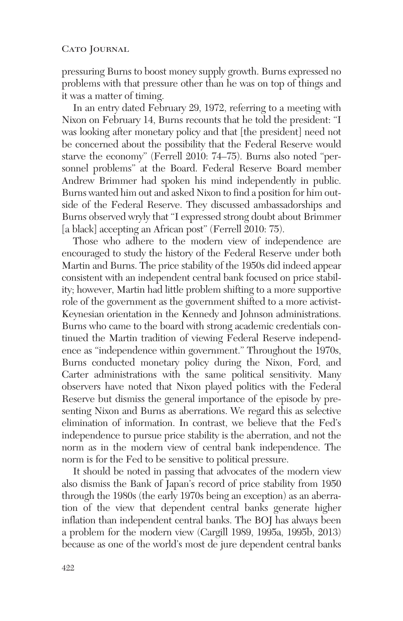pressuring Burns to boost money supply growth. Burns expressed no problems with that pressure other than he was on top of things and it was a matter of timing.

In an entry dated February 29, 1972, referring to a meeting with Nixon on February 14, Burns recounts that he told the president: "I was looking after monetary policy and that [the president] need not be concerned about the possibility that the Federal Reserve would starve the economy" (Ferrell 2010: 74–75). Burns also noted "personnel problems" at the Board. Federal Reserve Board member Andrew Brimmer had spoken his mind independently in public. Burns wanted him out and asked Nixon to find a position for him outside of the Federal Reserve. They discussed ambassadorships and Burns observed wryly that "I expressed strong doubt about Brimmer [a black] accepting an African post" (Ferrell 2010: 75).

Those who adhere to the modern view of independence are encouraged to study the history of the Federal Reserve under both Martin and Burns. The price stability of the 1950s did indeed appear consistent with an independent central bank focused on price stability; however, Martin had little problem shifting to a more supportive role of the government as the government shifted to a more activist-Keynesian orientation in the Kennedy and Johnson administrations. Burns who came to the board with strong academic credentials continued the Martin tradition of viewing Federal Reserve independence as "independence within government." Throughout the 1970s, Burns conducted monetary policy during the Nixon, Ford, and Carter administrations with the same political sensitivity. Many observers have noted that Nixon played politics with the Federal Reserve but dismiss the general importance of the episode by presenting Nixon and Burns as aberrations. We regard this as selective elimination of information. In contrast, we believe that the Fed's independence to pursue price stability is the aberration, and not the norm as in the modern view of central bank independence. The norm is for the Fed to be sensitive to political pressure.

It should be noted in passing that advocates of the modern view also dismiss the Bank of Japan's record of price stability from 1950 through the 1980s (the early 1970s being an exception) as an aberration of the view that dependent central banks generate higher inflation than independent central banks. The BOJ has always been a problem for the modern view (Cargill 1989, 1995a, 1995b, 2013) because as one of the world's most de jure dependent central banks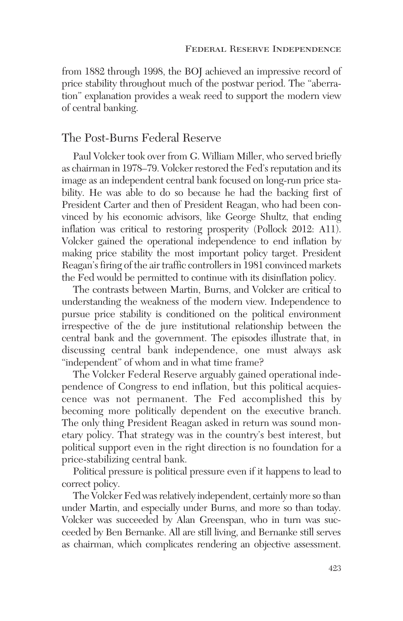from 1882 through 1998, the BOJ achieved an impressive record of price stability throughout much of the postwar period. The "aberration" explanation provides a weak reed to support the modern view of central banking.

# The Post-Burns Federal Reserve

Paul Volcker took over from G. William Miller, who served briefly as chairman in 1978–79. Volcker restored the Fed's reputation and its image as an independent central bank focused on long-run price stability. He was able to do so because he had the backing first of President Carter and then of President Reagan, who had been convinced by his economic advisors, like George Shultz, that ending inflation was critical to restoring prosperity (Pollock 2012: A11). Volcker gained the operational independence to end inflation by making price stability the most important policy target. President Reagan's firing of the air traffic controllers in 1981 convinced markets the Fed would be permitted to continue with its disinflation policy.

The contrasts between Martin, Burns, and Volcker are critical to understanding the weakness of the modern view. Independence to pursue price stability is conditioned on the political environment irrespective of the de jure institutional relationship between the central bank and the government. The episodes illustrate that, in discussing central bank independence, one must always ask "independent" of whom and in what time frame?

The Volcker Federal Reserve arguably gained operational independence of Congress to end inflation, but this political acquiescence was not permanent. The Fed accomplished this by becoming more politically dependent on the executive branch. The only thing President Reagan asked in return was sound monetary policy. That strategy was in the country's best interest, but political support even in the right direction is no foundation for a price-stabilizing central bank.

Political pressure is political pressure even if it happens to lead to correct policy.

The Volcker Fed was relatively independent, certainly more so than under Martin, and especially under Burns, and more so than today. Volcker was succeeded by Alan Greenspan, who in turn was succeeded by Ben Bernanke. All are still living, and Bernanke still serves as chairman, which complicates rendering an objective assessment.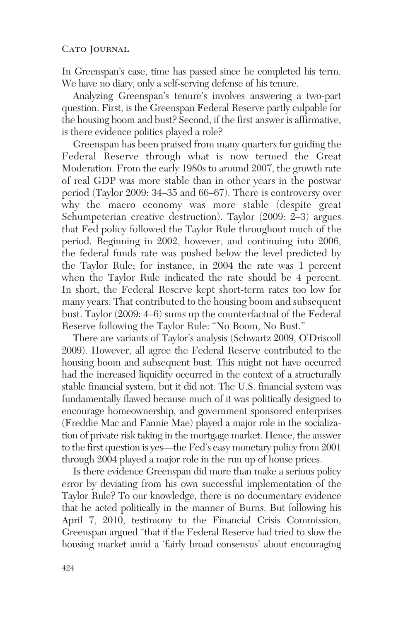In Greenspan's case, time has passed since he completed his term. We have no diary, only a self-serving defense of his tenure.

Analyzing Greenspan's tenure's involves answering a two-part question. First, is the Greenspan Federal Reserve partly culpable for the housing boom and bust? Second, if the first answer is affirmative, is there evidence politics played a role?

Greenspan has been praised from many quarters for guiding the Federal Reserve through what is now termed the Great Moderation. From the early 1980s to around 2007, the growth rate of real GDP was more stable than in other years in the postwar period (Taylor 2009: 34–35 and 66–67). There is controversy over why the macro economy was more stable (despite great Schumpeterian creative destruction). Taylor (2009: 2–3) argues that Fed policy followed the Taylor Rule throughout much of the period. Beginning in 2002, however, and continuing into 2006, the federal funds rate was pushed below the level predicted by the Taylor Rule; for instance, in 2004 the rate was 1 percent when the Taylor Rule indicated the rate should be 4 percent. In short, the Federal Reserve kept short-term rates too low for many years. That contributed to the housing boom and subsequent bust. Taylor (2009: 4–6) sums up the counterfactual of the Federal Reserve following the Taylor Rule: "No Boom, No Bust."

There are variants of Taylor's analysis (Schwartz 2009, O'Driscoll 2009). However, all agree the Federal Reserve contributed to the housing boom and subsequent bust. This might not have occurred had the increased liquidity occurred in the context of a structurally stable financial system, but it did not. The U.S. financial system was fundamentally flawed because much of it was politically designed to encourage homeownership, and government sponsored enterprises (Freddie Mac and Fannie Mae) played a major role in the socialization of private risk taking in the mortgage market. Hence, the answer to the first question is yes—the Fed's easy monetary policy from 2001 through 2004 played a major role in the run up of house prices.

Is there evidence Greenspan did more than make a serious policy error by deviating from his own successful implementation of the Taylor Rule? To our knowledge, there is no documentary evidence that he acted politically in the manner of Burns. But following his April 7, 2010, testimony to the Financial Crisis Commission, Greenspan argued "that if the Federal Reserve had tried to slow the housing market amid a 'fairly broad consensus' about encouraging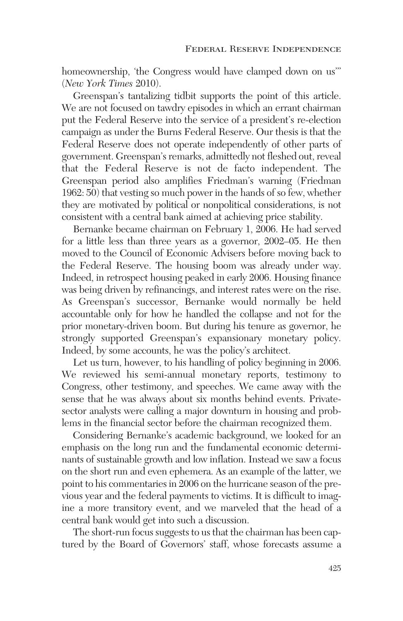homeownership, 'the Congress would have clamped down on us'" (*New York Times* 2010).

Greenspan's tantalizing tidbit supports the point of this article. We are not focused on tawdry episodes in which an errant chairman put the Federal Reserve into the service of a president's re-election campaign as under the Burns Federal Reserve. Our thesis is that the Federal Reserve does not operate independently of other parts of government. Greenspan's remarks, admittedly not fleshed out, reveal that the Federal Reserve is not de facto independent. The Greenspan period also amplifies Friedman's warning (Friedman 1962: 50) that vesting so much power in the hands of so few, whether they are motivated by political or nonpolitical considerations, is not consistent with a central bank aimed at achieving price stability.

Bernanke became chairman on February 1, 2006. He had served for a little less than three years as a governor, 2002–05. He then moved to the Council of Economic Advisers before moving back to the Federal Reserve. The housing boom was already under way. Indeed, in retrospect housing peaked in early 2006. Housing finance was being driven by refinancings, and interest rates were on the rise. As Greenspan's successor, Bernanke would normally be held accountable only for how he handled the collapse and not for the prior monetary-driven boom. But during his tenure as governor, he strongly supported Greenspan's expansionary monetary policy. Indeed, by some accounts, he was the policy's architect.

Let us turn, however, to his handling of policy beginning in 2006. We reviewed his semi-annual monetary reports, testimony to Congress, other testimony, and speeches. We came away with the sense that he was always about six months behind events. Private sector analysts were calling a major downturn in housing and problems in the financial sector before the chairman recognized them.

Considering Bernanke's academic background, we looked for an emphasis on the long run and the fundamental economic determinants of sustainable growth and low inflation. Instead we saw a focus on the short run and even ephemera. As an example of the latter, we point to his commentaries in 2006 on the hurricane season of the previous year and the federal payments to victims. It is difficult to imagine a more transitory event, and we marveled that the head of a central bank would get into such a discussion.

The short-run focus suggests to us that the chairman has been captured by the Board of Governors' staff, whose forecasts assume a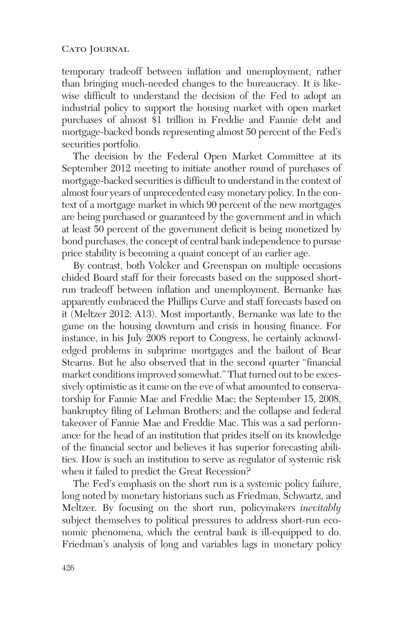temporary tradeoff between inflation and unemployment, rather than bringing much-needed changes to the bureaucracy. It is likewise difficult to understand the decision of the Fed to adopt an industrial policy to support the housing market with open market purchases of almost \$1 trillion in Freddie and Fannie debt and mortgage-backed bonds representing almost 50 percent of the Fed's securities portfolio.

The decision by the Federal Open Market Committee at its September 2012 meeting to initiate another round of purchases of mortgage-backed securities is difficult to understand in the context of almost four years of unprecedented easy monetary policy. In the context of a mortgage market in which 90 percent of the new mortgages are being purchased or guaranteed by the government and in which at least 50 percent of the government deficit is being monetized by bond purchases, the concept of central bank independence to pursue price stability is becoming a quaint concept of an earlier age.

By contrast, both Volcker and Greenspan on multiple occasions chided Board staff for their forecasts based on the supposed shortrun tradeoff between inflation and unemployment. Bernanke has apparently embraced the Phillips Curve and staff forecasts based on it (Meltzer 2012: A13). Most importantly, Bernanke was late to the game on the housing downturn and crisis in housing finance. For instance, in his July 2008 report to Congress, he certainly acknowledged problems in subprime mortgages and the bailout of Bear Stearns. But he also observed that in the second quarter "financial market conditions improved somewhat." That turned out to be excessively optimistic as it came on the eve of what amounted to conservatorship for Fannie Mae and Freddie Mac; the September 15, 2008, bankruptcy filing of Lehman Brothers; and the collapse and federal takeover of Fannie Mae and Freddie Mac. This was a sad performance for the head of an institution that prides itself on its knowledge of the financial sector and believes it has superior forecasting abilities. How is such an institution to serve as regulator of systemic risk when it failed to predict the Great Recession?

The Fed's emphasis on the short run is a systemic policy failure, long noted by monetary historians such as Friedman, Schwartz, and Meltzer. By focusing on the short run, policymakers *inevitably* subject themselves to political pressures to address short-run economic phenomena, which the central bank is ill-equipped to do. Friedman's analysis of long and variables lags in monetary policy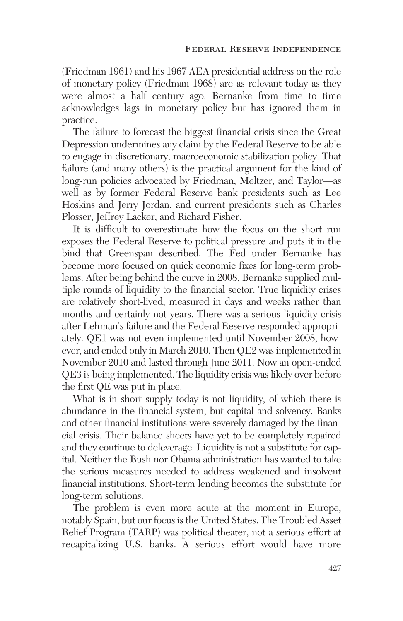(Friedman 1961) and his 1967 AEA presidential address on the role of monetary policy (Friedman 1968) are as relevant today as they were almost a half century ago. Bernanke from time to time acknowledges lags in monetary policy but has ignored them in practice.

The failure to forecast the biggest financial crisis since the Great Depression undermines any claim by the Federal Reserve to be able to engage in discretionary, macroeconomic stabilization policy. That failure (and many others) is the practical argument for the kind of long-run policies advocated by Friedman, Meltzer, and Taylor—as well as by former Federal Reserve bank presidents such as Lee Hoskins and Jerry Jordan, and current presidents such as Charles Plosser, Jeffrey Lacker, and Richard Fisher.

It is difficult to overestimate how the focus on the short run exposes the Federal Reserve to political pressure and puts it in the bind that Greenspan described. The Fed under Bernanke has become more focused on quick economic fixes for long-term problems. After being behind the curve in 2008, Bernanke supplied multiple rounds of liquidity to the financial sector. True liquidity crises are relatively short-lived, measured in days and weeks rather than months and certainly not years. There was a serious liquidity crisis after Lehman's failure and the Federal Reserve responded appropriately. QE1 was not even implemented until November 2008, however, and ended only in March 2010. Then QE2 was implemented in November 2010 and lasted through June 2011. Now an open-ended QE3 is being implemented. The liquidity crisis was likely over before the first QE was put in place.

What is in short supply today is not liquidity, of which there is abundance in the financial system, but capital and solvency. Banks and other financial institutions were severely damaged by the financial crisis. Their balance sheets have yet to be completely repaired and they continue to deleverage. Liquidity is not a substitute for capital. Neither the Bush nor Obama administration has wanted to take the serious measures needed to address weakened and insolvent financial institutions. Short-term lending becomes the substitute for long-term solutions.

The problem is even more acute at the moment in Europe, notably Spain, but our focus is the United States. The Troubled Asset Relief Program (TARP) was political theater, not a serious effort at recapitalizing U.S. banks. A serious effort would have more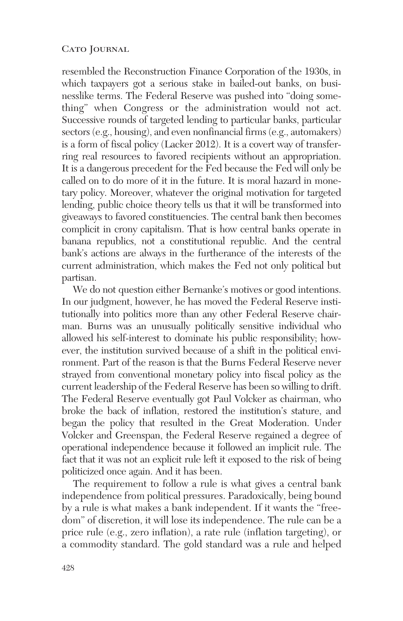resembled the Reconstruction Finance Corporation of the 1930s, in which taxpayers got a serious stake in bailed-out banks, on businesslike terms. The Federal Reserve was pushed into "doing something" when Congress or the administration would not act. Successive rounds of targeted lending to particular banks, particular sectors (e.g., housing), and even nonfinancial firms (e.g., automakers) is a form of fiscal policy (Lacker 2012). It is a covert way of transferring real resources to favored recipients without an appropriation. It is a dangerous precedent for the Fed because the Fed will only be called on to do more of it in the future. It is moral hazard in monetary policy. Moreover, whatever the original motivation for targeted lending, public choice theory tells us that it will be transformed into giveaways to favored constituencies. The central bank then becomes complicit in crony capitalism. That is how central banks operate in banana republics, not a constitutional republic. And the central bank's actions are always in the furtherance of the interests of the current administration, which makes the Fed not only political but partisan.

We do not question either Bernanke's motives or good intentions. In our judgment, however, he has moved the Federal Reserve institutionally into politics more than any other Federal Reserve chairman. Burns was an unusually politically sensitive individual who allowed his self-interest to dominate his public responsibility; however, the institution survived because of a shift in the political environment. Part of the reason is that the Burns Federal Reserve never strayed from conventional monetary policy into fiscal policy as the current leadership of the Federal Reserve has been so willing to drift. The Federal Reserve eventually got Paul Volcker as chairman, who broke the back of inflation, restored the institution's stature, and began the policy that resulted in the Great Moderation. Under Volcker and Greenspan, the Federal Reserve regained a degree of operational independence because it followed an implicit rule. The fact that it was not an explicit rule left it exposed to the risk of being politicized once again. And it has been.

The requirement to follow a rule is what gives a central bank independence from political pressures. Paradoxically, being bound by a rule is what makes a bank independent. If it wants the "freedom" of discretion, it will lose its independence. The rule can be a price rule (e.g., zero inflation), a rate rule (inflation targeting), or a commodity standard. The gold standard was a rule and helped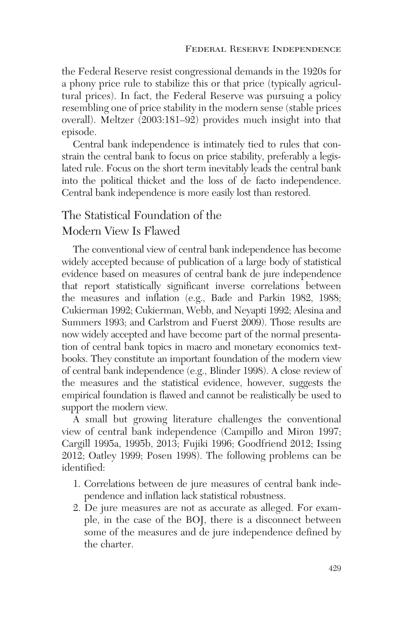the Federal Reserve resist congressional demands in the 1920s for a phony price rule to stabilize this or that price (typically agricultural prices). In fact, the Federal Reserve was pursuing a policy resembling one of price stability in the modern sense (stable prices overall). Meltzer (2003:181–92) provides much insight into that episode.

Central bank independence is intimately tied to rules that constrain the central bank to focus on price stability, preferably a legislated rule. Focus on the short term inevitably leads the central bank into the political thicket and the loss of de facto independence. Central bank independence is more easily lost than restored.

# The Statistical Foundation of the Modern View Is Flawed

The conventional view of central bank independence has become widely accepted because of publication of a large body of statistical evidence based on measures of central bank de jure independence that report statistically significant inverse correlations between the measures and inflation (e.g., Bade and Parkin 1982, 1988; Cukierman 1992; Cukierman, Webb, and Neyapti 1992; Alesina and Summers 1993; and Carlstrom and Fuerst 2009). Those results are now widely accepted and have become part of the normal presentation of central bank topics in macro and monetary economics textbooks. They constitute an important foundation of the modern view of central bank independence (e.g., Blinder 1998). A close review of the measures and the statistical evidence, however, suggests the empirical foundation is flawed and cannot be realistically be used to support the modern view.

A small but growing literature challenges the conventional view of central bank independence (Campillo and Miron 1997; Cargill 1995a, 1995b, 2013; Fujiki 1996; Goodfriend 2012; Issing 2012; Oatley 1999; Posen 1998). The following problems can be identified:

- 1. Correlations between de jure measures of central bank independence and inflation lack statistical robustness.
- 2. De jure measures are not as accurate as alleged. For example, in the case of the BOJ, there is a disconnect between some of the measures and de jure independence defined by the charter.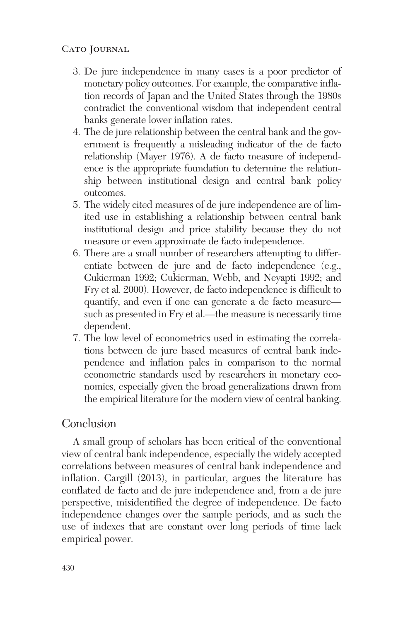- 3. De jure independence in many cases is a poor predictor of monetary policy outcomes. For example, the comparative inflation records of Japan and the United States through the 1980s contradict the conventional wisdom that independent central banks generate lower inflation rates.
- 4. The de jure relationship between the central bank and the government is frequently a misleading indicator of the de facto relationship (Mayer 1976). A de facto measure of independence is the appropriate foundation to determine the relationship between institutional design and central bank policy outcomes.
- 5. The widely cited measures of de jure independence are of limited use in establishing a relationship between central bank institutional design and price stability because they do not measure or even approximate de facto independence.
- 6. There are a small number of researchers attempting to differentiate between de jure and de facto independence (e.g., Cukierman 1992; Cukierman, Webb, and Neyapti 1992; and Fry et al. 2000). However, de facto independence is difficult to quantify, and even if one can generate a de facto measure such as presented in Fry et al.—the measure is necessarily time dependent.
- 7. The low level of econometrics used in estimating the correlations between de jure based measures of central bank independence and inflation pales in comparison to the normal econometric standards used by researchers in monetary economics, especially given the broad generalizations drawn from the empirical literature for the modern view of central banking.

## Conclusion

A small group of scholars has been critical of the conventional view of central bank independence, especially the widely accepted correlations between measures of central bank independence and inflation. Cargill (2013), in particular, argues the literature has conflated de facto and de jure independence and, from a de jure perspective, misidentified the degree of independence. De facto independence changes over the sample periods, and as such the use of indexes that are constant over long periods of time lack empirical power.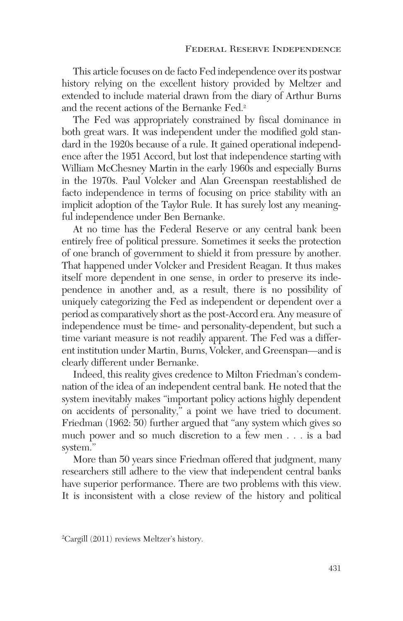This article focuses on de facto Fed independence over its postwar history relying on the excellent history provided by Meltzer and extended to include material drawn from the diary of Arthur Burns and the recent actions of the Bernanke Fed.<sup>2</sup>

The Fed was appropriately constrained by fiscal dominance in both great wars. It was independent under the modified gold standard in the 1920s because of a rule. It gained operational independence after the 1951 Accord, but lost that independence starting with William McChesney Martin in the early 1960s and especially Burns in the 1970s. Paul Volcker and Alan Greenspan reestablished de facto independence in terms of focusing on price stability with an implicit adoption of the Taylor Rule. It has surely lost any meaningful independence under Ben Bernanke.

At no time has the Federal Reserve or any central bank been entirely free of political pressure. Sometimes it seeks the protection of one branch of government to shield it from pressure by another. That happened under Volcker and President Reagan. It thus makes itself more dependent in one sense, in order to preserve its independence in another and, as a result, there is no possibility of uniquely categorizing the Fed as independent or dependent over a period as comparatively short as the post-Accord era. Any measure of independence must be time- and personality-dependent, but such a time variant measure is not readily apparent. The Fed was a different institution under Martin, Burns, Volcker, and Greenspan—and is clearly different under Bernanke.

Indeed, this reality gives credence to Milton Friedman's condemnation of the idea of an independent central bank. He noted that the system inevitably makes "important policy actions highly dependent on accidents of personality," a point we have tried to document. Friedman (1962: 50) further argued that "any system which gives so much power and so much discretion to a few men . . . is a bad system."

More than 50 years since Friedman offered that judgment, many researchers still adhere to the view that independent central banks have superior performance. There are two problems with this view. It is inconsistent with a close review of the history and political

<sup>2</sup> Cargill (2011) reviews Meltzer's history.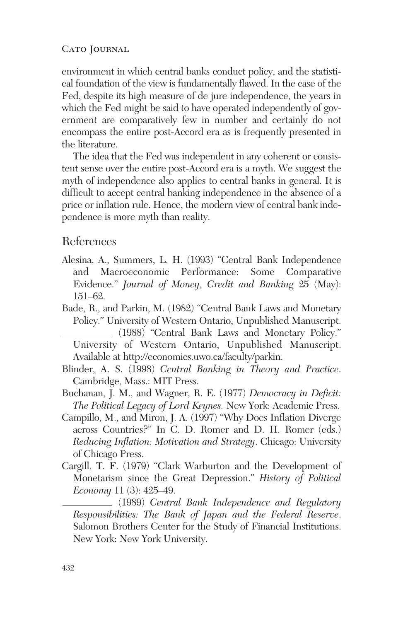environment in which central banks conduct policy, and the statistical foundation of the view is fundamentally flawed. In the case of the Fed, despite its high measure of de jure independence, the years in which the Fed might be said to have operated independently of government are comparatively few in number and certainly do not encompass the entire post-Accord era as is frequently presented in the literature.

The idea that the Fed was independent in any coherent or consistent sense over the entire post-Accord era is a myth. We suggest the myth of independence also applies to central banks in general. It is difficult to accept central banking independence in the absence of a price or inflation rule. Hence, the modern view of central bank independence is more myth than reality.

## References

- Alesina, A., Summers, L. H. (1993) "Central Bank Independence and Macroeconomic Performance: Some Comparative Evidence." *Journal of Money, Credit and Banking* 25 (May): 151–62.
- Bade, R., and Parkin, M. (1982) "Central Bank Laws and Monetary Policy." University of Western Ontario, Unpublished Manuscript. (1988) "Central Bank Laws and Monetary Policy." University of Western Ontario, Unpublished Manuscript. Available at http://economics.uwo.ca/faculty/parkin.
- Blinder, A. S. (1998) *Central Banking in Theory and Practice*. Cambridge, Mass.: MIT Press.
- Buchanan, J. M., and Wagner, R. E. (1977) *Democracy in Deficit: The Political Legacy of Lord Keynes.* New York: Academic Press.
- Campillo, M., and Miron, J. A. (1997) "Why Does Inflation Diverge across Countries?" In C. D. Romer and D. H. Romer (eds.) *Reducing Inflation: Motivation and Strategy*. Chicago: University of Chicago Press.
- Cargill, T. F. (1979) "Clark Warburton and the Development of Monetarism since the Great Depression." *History of Political Economy* 11 (3): 425–49.

(1989) *Central Bank Independence and Regulatory Responsibilities: The Bank of Japan and the Federal Reserve*. Salomon Brothers Center for the Study of Financial Institutions. New York: New York University.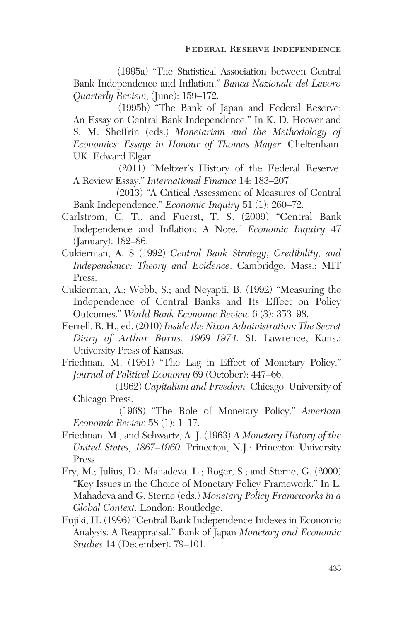(1995a) "The Statistical Association between Central Bank Independence and Inflation." *Banca Nazionale del Lavoro Quarterly Review*, (June): 159–172.

(1995b) "The Bank of Japan and Federal Reserve: An Essay on Central Bank Independence." In K. D. Hoover and S. M. Sheffrin (eds.) *Monetarism and the Methodology of Economics: Essays in Honour of Thomas Mayer*. Cheltenham, UK: Edward Elgar.

(2011) "Meltzer's History of the Federal Reserve: A Review Essay." *International Finance* 14: 183–207.

(2013) "A Critical Assessment of Measures of Central Bank Independence." *Economic Inquiry* 51 (1): 260–72.

- Carlstrom, C. T., and Fuerst, T. S. (2009) "Central Bank Independence and Inflation: A Note." *Economic Inquiry* 47 (January): 182–86.
- Cukierman, A. S (1992) *Central Bank Strategy, Credibility, and Independence: Theory and Evidence*. Cambridge, Mass.: MIT Press.
- Cukierman, A.; Webb, S.; and Neyapti, B. (1992) "Measuring the Independence of Central Banks and Its Effect on Policy Outcomes." *World Bank Economic Review* 6 (3): 353–98.
- Ferrell, R. H., ed. (2010) *Inside the Nixon Administration: The Secret Diary of Arthur Burns, 1969–1974.* St. Lawrence, Kans.: University Press of Kansas.
- Friedman, M. (1961) "The Lag in Effect of Monetary Policy." *Journal of Political Economy* 69 (October): 447–66.
	- (1962) *Capitalism and Freedom.* Chicago: University of Chicago Press.

(1968) "The Role of Monetary Policy." *American Economic Review* 58 (1): 1–17.

- Friedman, M., and Schwartz, A. J. (1963) *A Monetary History of the United States, 1867–1960.* Princeton, N.J.: Princeton University Press.
- Fry, M.; Julius, D.; Mahadeva, L.; Roger, S.; and Sterne, G. (2000) "Key Issues in the Choice of Monetary Policy Framework." In L. Mahadeva and G. Sterne (eds.) *Monetary Policy Frameworks in a Global Context.* London: Routledge.
- Fujiki, H. (1996) "Central Bank Independence Indexes in Economic Analysis: A Reappraisal." Bank of Japan *Monetary and Economic Studies* 14 (December): 79–101.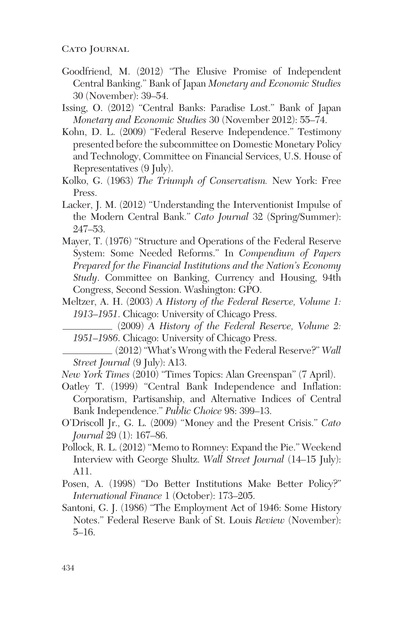- Goodfriend, M. (2012) "The Elusive Promise of Independent Central Banking." Bank of Japan *Monetary and Economic Studies* 30 (November): 39–54.
- Issing, O. (2012) "Central Banks: Paradise Lost." Bank of Japan *Monetary and Economic Studies* 30 (November 2012): 55–74.
- Kohn, D. L. (2009) "Federal Reserve Independence." Testimony presented before the subcommittee on Domestic Monetary Policy and Technology, Committee on Financial Services, U.S. House of Representatives (9 July).
- Kolko, G. (1963) *The Triumph of Conservatism.* New York: Free Press.
- Lacker, J. M. (2012) "Understanding the Interventionist Impulse of the Modern Central Bank." *Cato Journal* 32 (Spring/Summer): 247–53.
- Mayer, T. (1976) "Structure and Operations of the Federal Reserve System: Some Needed Reforms." In *Compendium of Papers Prepared for the Financial Institutions and the Nation's Economy Study*. Committee on Banking, Currency and Housing, 94th Congress, Second Session. Washington: GPO.
- Meltzer, A. H. (2003) *A History of the Federal Reserve, Volume 1: 1913–1951*. Chicago: University of Chicago Press.
	- (2009) *A History of the Federal Reserve, Volume 2: 1951–1986*. Chicago: University of Chicago Press.
	- (2012) "What's Wrong with the Federal Reserve?" *Wall Street Journal* (9 July): A13.
- *New York Times* (2010) "Times Topics: Alan Greenspan" (7 April).
- Oatley T. (1999) "Central Bank Independence and Inflation: Corporatism, Partisanship, and Alternative Indices of Central Bank Independence." *Public Choice* 98: 399–13.
- O'Driscoll Jr., G. L. (2009) "Money and the Present Crisis." *Cato Journal* 29 (1): 167–86.
- Pollock, R. L. (2012) "Memo to Romney: Expand the Pie." Weekend Interview with George Shultz. *Wall Street Journal* (14–15 July): A11.
- Posen, A. (1998) "Do Better Institutions Make Better Policy?" *International Finance* 1 (October): 173–205.
- Santoni, G. J. (1986) "The Employment Act of 1946: Some History Notes." Federal Reserve Bank of St. Louis *Review* (November): 5–16.